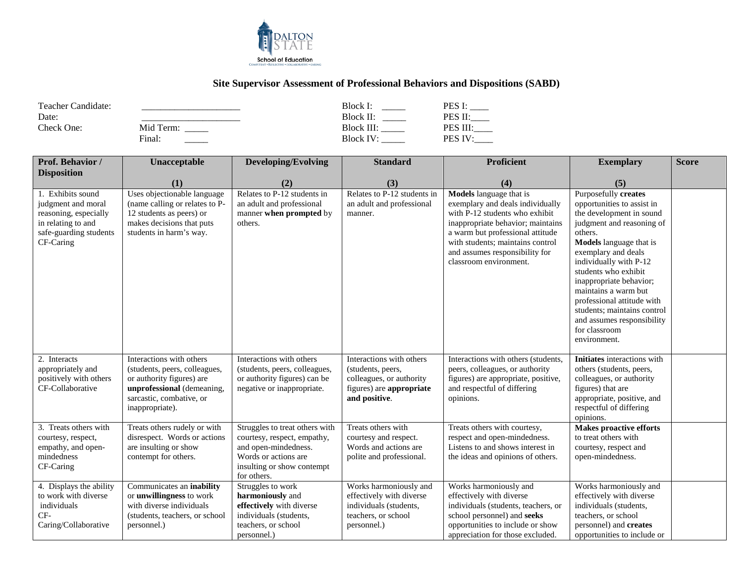

## **Site Supervisor Assessment of Professional Behaviors and Dispositions (SABD)**

| Teacher Candidate: |           | Block I:          | PES I:        |
|--------------------|-----------|-------------------|---------------|
| Date:              |           | Block II:         | PES II:       |
| Check One:         | Mid Term: | <b>Block III:</b> | PES III:      |
|                    | Final:    | Block IV:         | <b>PES IV</b> |

| Prof. Behavior /                                                                                                              | Unacceptable                                                                                                                                                        | <b>Developing/Evolving</b>                                                                                                                                 | <b>Standard</b>                                                                                                        | Proficient                                                                                                                                                                                                                                                                    | <b>Exemplary</b>                                                                                                                                                                                                                                                                                                                                                                                                        | <b>Score</b> |
|-------------------------------------------------------------------------------------------------------------------------------|---------------------------------------------------------------------------------------------------------------------------------------------------------------------|------------------------------------------------------------------------------------------------------------------------------------------------------------|------------------------------------------------------------------------------------------------------------------------|-------------------------------------------------------------------------------------------------------------------------------------------------------------------------------------------------------------------------------------------------------------------------------|-------------------------------------------------------------------------------------------------------------------------------------------------------------------------------------------------------------------------------------------------------------------------------------------------------------------------------------------------------------------------------------------------------------------------|--------------|
| <b>Disposition</b>                                                                                                            |                                                                                                                                                                     |                                                                                                                                                            |                                                                                                                        |                                                                                                                                                                                                                                                                               |                                                                                                                                                                                                                                                                                                                                                                                                                         |              |
|                                                                                                                               | (1)                                                                                                                                                                 | (2)                                                                                                                                                        | (3)                                                                                                                    | (4)                                                                                                                                                                                                                                                                           | (5)                                                                                                                                                                                                                                                                                                                                                                                                                     |              |
| 1. Exhibits sound<br>judgment and moral<br>reasoning, especially<br>in relating to and<br>safe-guarding students<br>CF-Caring | Uses objectionable language<br>(name calling or relates to P-<br>12 students as peers) or<br>makes decisions that puts<br>students in harm's way.                   | Relates to P-12 students in<br>an adult and professional<br>manner when prompted by<br>others.                                                             | Relates to P-12 students in<br>an adult and professional<br>manner.                                                    | <b>Models</b> language that is<br>exemplary and deals individually<br>with P-12 students who exhibit<br>inappropriate behavior; maintains<br>a warm but professional attitude<br>with students; maintains control<br>and assumes responsibility for<br>classroom environment. | <b>Purposefully</b> creates<br>opportunities to assist in<br>the development in sound<br>judgment and reasoning of<br>others.<br><b>Models</b> language that is<br>exemplary and deals<br>individually with P-12<br>students who exhibit<br>inappropriate behavior;<br>maintains a warm but<br>professional attitude with<br>students; maintains control<br>and assumes responsibility<br>for classroom<br>environment. |              |
| 2. Interacts<br>appropriately and<br>positively with others<br>CF-Collaborative                                               | Interactions with others<br>(students, peers, colleagues,<br>or authority figures) are<br>unprofessional (demeaning,<br>sarcastic, combative, or<br>inappropriate). | Interactions with others<br>(students, peers, colleagues,<br>or authority figures) can be<br>negative or inappropriate.                                    | Interactions with others<br>(students, peers,<br>colleagues, or authority<br>figures) are appropriate<br>and positive. | Interactions with others (students,<br>peers, colleagues, or authority<br>figures) are appropriate, positive,<br>and respectful of differing<br>opinions.                                                                                                                     | Initiates interactions with<br>others (students, peers,<br>colleagues, or authority<br>figures) that are<br>appropriate, positive, and<br>respectful of differing<br>opinions.                                                                                                                                                                                                                                          |              |
| 3. Treats others with<br>courtesy, respect,<br>empathy, and open-<br>mindedness<br>CF-Caring                                  | Treats others rudely or with<br>disrespect. Words or actions<br>are insulting or show<br>contempt for others.                                                       | Struggles to treat others with<br>courtesy, respect, empathy,<br>and open-mindedness.<br>Words or actions are<br>insulting or show contempt<br>for others. | Treats others with<br>courtesy and respect.<br>Words and actions are<br>polite and professional.                       | Treats others with courtesy,<br>respect and open-mindedness.<br>Listens to and shows interest in<br>the ideas and opinions of others.                                                                                                                                         | <b>Makes proactive efforts</b><br>to treat others with<br>courtesy, respect and<br>open-mindedness.                                                                                                                                                                                                                                                                                                                     |              |
| 4. Displays the ability<br>to work with diverse<br>individuals<br>CF-<br>Caring/Collaborative                                 | Communicates an inability<br>or unwillingness to work<br>with diverse individuals<br>(students, teachers, or school<br>personnel.)                                  | Struggles to work<br>harmoniously and<br>effectively with diverse<br>individuals (students,<br>teachers, or school<br>personnel.)                          | Works harmoniously and<br>effectively with diverse<br>individuals (students,<br>teachers, or school<br>personnel.)     | Works harmoniously and<br>effectively with diverse<br>individuals (students, teachers, or<br>school personnel) and seeks<br>opportunities to include or show<br>appreciation for those excluded.                                                                              | Works harmoniously and<br>effectively with diverse<br>individuals (students,<br>teachers, or school<br>personnel) and creates<br>opportunities to include or                                                                                                                                                                                                                                                            |              |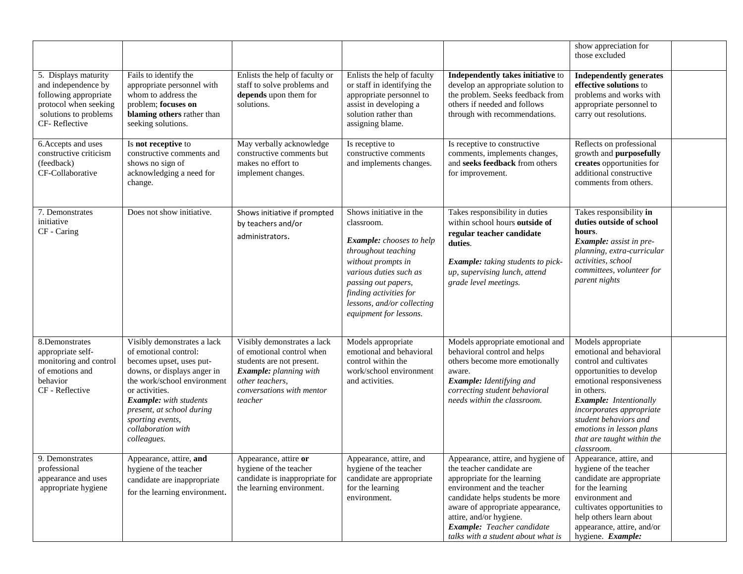|                                                                                                                                         |                                                                                                                                                                                                                                                                                         |                                                                                                                                                                            |                                                                                                                                                                                                                                                          |                                                                                                                                                                                                                                                                                                       | show appreciation for<br>those excluded                                                                                                                                                                                                                                                                      |
|-----------------------------------------------------------------------------------------------------------------------------------------|-----------------------------------------------------------------------------------------------------------------------------------------------------------------------------------------------------------------------------------------------------------------------------------------|----------------------------------------------------------------------------------------------------------------------------------------------------------------------------|----------------------------------------------------------------------------------------------------------------------------------------------------------------------------------------------------------------------------------------------------------|-------------------------------------------------------------------------------------------------------------------------------------------------------------------------------------------------------------------------------------------------------------------------------------------------------|--------------------------------------------------------------------------------------------------------------------------------------------------------------------------------------------------------------------------------------------------------------------------------------------------------------|
| 5. Displays maturity<br>and independence by<br>following appropriate<br>protocol when seeking<br>solutions to problems<br>CF-Reflective | Fails to identify the<br>appropriate personnel with<br>whom to address the<br>problem; focuses on<br>blaming others rather than<br>seeking solutions.                                                                                                                                   | Enlists the help of faculty or<br>staff to solve problems and<br>depends upon them for<br>solutions.                                                                       | Enlists the help of faculty<br>or staff in identifying the<br>appropriate personnel to<br>assist in developing a<br>solution rather than<br>assigning blame.                                                                                             | Independently takes initiative to<br>develop an appropriate solution to<br>the problem. Seeks feedback from<br>others if needed and follows<br>through with recommendations.                                                                                                                          | <b>Independently generates</b><br>effective solutions to<br>problems and works with<br>appropriate personnel to<br>carry out resolutions.                                                                                                                                                                    |
| 6. Accepts and uses<br>constructive criticism<br>(feedback)<br>CF-Collaborative                                                         | Is not receptive to<br>constructive comments and<br>shows no sign of<br>acknowledging a need for<br>change.                                                                                                                                                                             | May verbally acknowledge<br>constructive comments but<br>makes no effort to<br>implement changes.                                                                          | Is receptive to<br>constructive comments<br>and implements changes.                                                                                                                                                                                      | Is receptive to constructive<br>comments, implements changes,<br>and seeks feedback from others<br>for improvement.                                                                                                                                                                                   | Reflects on professional<br>growth and purposefully<br>creates opportunities for<br>additional constructive<br>comments from others.                                                                                                                                                                         |
| 7. Demonstrates<br>initiative<br>CF - Caring                                                                                            | Does not show initiative.                                                                                                                                                                                                                                                               | Shows initiative if prompted<br>by teachers and/or<br>administrators.                                                                                                      | Shows initiative in the<br>classroom.<br><b>Example:</b> chooses to help<br>throughout teaching<br>without prompts in<br>various duties such as<br>passing out papers,<br>finding activities for<br>lessons, and/or collecting<br>equipment for lessons. | Takes responsibility in duties<br>within school hours outside of<br>regular teacher candidate<br>duties.<br>Example: taking students to pick-<br>up, supervising lunch, attend<br>grade level meetings.                                                                                               | Takes responsibility in<br>duties outside of school<br>hours.<br>Example: assist in pre-<br>planning, extra-curricular<br>activities, school<br>committees, volunteer for<br>parent nights                                                                                                                   |
| 8.Demonstrates<br>appropriate self-<br>monitoring and control<br>of emotions and<br>behavior<br>CF - Reflective                         | Visibly demonstrates a lack<br>of emotional control:<br>becomes upset, uses put-<br>downs, or displays anger in<br>the work/school environment<br>or activities.<br><b>Example:</b> with students<br>present, at school during<br>sporting events,<br>collaboration with<br>colleagues. | Visibly demonstrates a lack<br>of emotional control when<br>students are not present.<br>Example: planning with<br>other teachers.<br>conversations with mentor<br>teacher | Models appropriate<br>emotional and behavioral<br>control within the<br>work/school environment<br>and activities.                                                                                                                                       | Models appropriate emotional and<br>behavioral control and helps<br>others become more emotionally<br>aware.<br>Example: Identifying and<br>correcting student behavioral<br>needs within the classroom.                                                                                              | Models appropriate<br>emotional and behavioral<br>control and cultivates<br>opportunities to develop<br>emotional responsiveness<br>in others.<br><b>Example:</b> Intentionally<br>incorporates appropriate<br>student behaviors and<br>emotions in lesson plans<br>that are taught within the<br>classroom. |
| 9. Demonstrates<br>professional<br>appearance and uses<br>appropriate hygiene                                                           | Appearance, attire, and<br>hygiene of the teacher<br>candidate are inappropriate<br>for the learning environment.                                                                                                                                                                       | Appearance, attire or<br>hygiene of the teacher<br>candidate is inappropriate for<br>the learning environment.                                                             | Appearance, attire, and<br>hygiene of the teacher<br>candidate are appropriate<br>for the learning<br>environment.                                                                                                                                       | Appearance, attire, and hygiene of<br>the teacher candidate are<br>appropriate for the learning<br>environment and the teacher<br>candidate helps students be more<br>aware of appropriate appearance,<br>attire, and/or hygiene.<br>Example: Teacher candidate<br>talks with a student about what is | Appearance, attire, and<br>hygiene of the teacher<br>candidate are appropriate<br>for the learning<br>environment and<br>cultivates opportunities to<br>help others learn about<br>appearance, attire, and/or<br>hygiene. Example:                                                                           |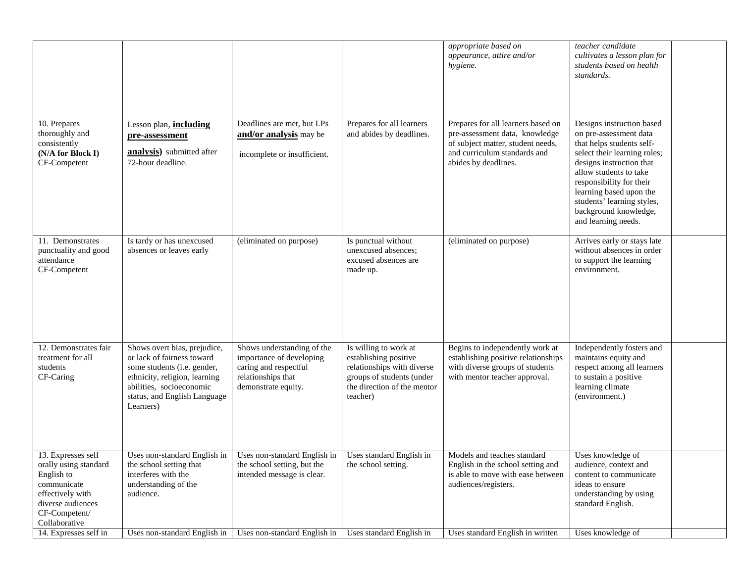|                                                                                                                                                     |                                                                                                                                                                                                     |                                                                                                                                                     |                                                                                                                                                      | appropriate based on<br>appearance, attire and/or<br>hygiene.                                                                                                     | teacher candidate<br>cultivates a lesson plan for<br>students based on health<br>standards.                                                                                                                                                                                                                 |
|-----------------------------------------------------------------------------------------------------------------------------------------------------|-----------------------------------------------------------------------------------------------------------------------------------------------------------------------------------------------------|-----------------------------------------------------------------------------------------------------------------------------------------------------|------------------------------------------------------------------------------------------------------------------------------------------------------|-------------------------------------------------------------------------------------------------------------------------------------------------------------------|-------------------------------------------------------------------------------------------------------------------------------------------------------------------------------------------------------------------------------------------------------------------------------------------------------------|
| $\overline{10}$ . Prepares<br>thoroughly and<br>consistently<br>(N/A for Block I)<br>CF-Competent                                                   | Lesson plan, <i>including</i><br>pre-assessment<br><b>analysis</b> ) submitted after<br>72-hour deadline.                                                                                           | Deadlines are met, but LPs<br>and/or analysis may be<br>incomplete or insufficient.                                                                 | Prepares for all learners<br>and abides by deadlines.                                                                                                | Prepares for all learners based on<br>pre-assessment data, knowledge<br>of subject matter, student needs,<br>and curriculum standards and<br>abides by deadlines. | Designs instruction based<br>on pre-assessment data<br>that helps students self-<br>select their learning roles;<br>designs instruction that<br>allow students to take<br>responsibility for their<br>learning based upon the<br>students' learning styles,<br>background knowledge,<br>and learning needs. |
| 11. Demonstrates<br>punctuality and good<br>attendance<br>CF-Competent                                                                              | Is tardy or has unexcused<br>absences or leaves early                                                                                                                                               | (eliminated on purpose)                                                                                                                             | Is punctual without<br>unexcused absences;<br>excused absences are<br>made up.                                                                       | (eliminated on purpose)                                                                                                                                           | Arrives early or stays late<br>without absences in order<br>to support the learning<br>environment.                                                                                                                                                                                                         |
| 12. Demonstrates fair<br>treatment for all<br>students<br>CF-Caring                                                                                 | Shows overt bias, prejudice,<br>or lack of fairness toward<br>some students (i.e. gender,<br>ethnicity, religion, learning<br>abilities, socioeconomic<br>status, and English Language<br>Learners) | Shows understanding of the<br>importance of developing<br>caring and respectful<br>relationships that<br>demonstrate equity.                        | Is willing to work at<br>establishing positive<br>relationships with diverse<br>groups of students (under<br>the direction of the mentor<br>teacher) | Begins to independently work at<br>establishing positive relationships<br>with diverse groups of students<br>with mentor teacher approval.                        | Independently fosters and<br>maintains equity and<br>respect among all learners<br>to sustain a positive<br>learning climate<br>(environment.)                                                                                                                                                              |
| 13. Expresses self<br>orally using standard<br>English to<br>communicate<br>effectively with<br>diverse audiences<br>CF-Competent/<br>Collaborative | the school setting that<br>interferes with the<br>understanding of the<br>audience.                                                                                                                 | Uses non-standard English in   Uses non-standard English in   Uses standard English in<br>the school setting, but the<br>intended message is clear. | the school setting.                                                                                                                                  | Models and teaches standard<br>English in the school setting and<br>is able to move with ease between<br>audiences/registers.                                     | Uses knowledge of<br>audience, context and<br>content to communicate<br>ideas to ensure<br>understanding by using<br>standard English.                                                                                                                                                                      |
| 14. Expresses self in                                                                                                                               | Uses non-standard English in                                                                                                                                                                        | Uses non-standard English in                                                                                                                        | Uses standard English in                                                                                                                             | Uses standard English in written                                                                                                                                  | Uses knowledge of                                                                                                                                                                                                                                                                                           |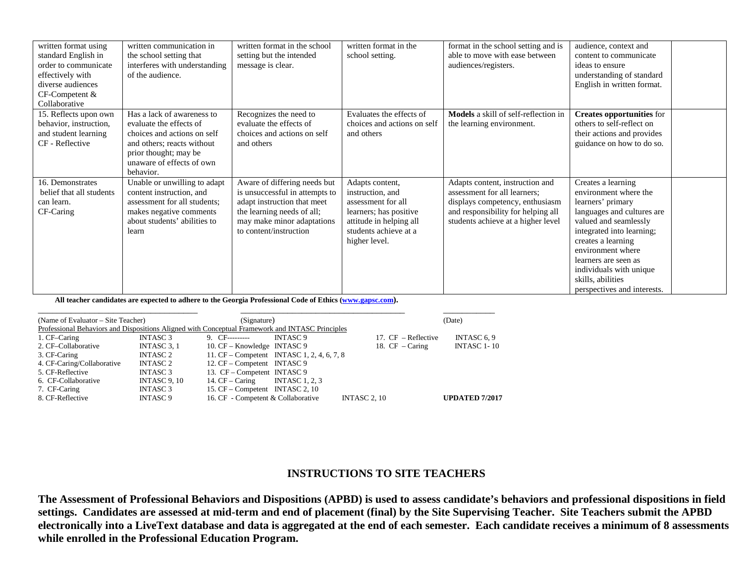| written format using<br>standard English in<br>order to communicate<br>effectively with<br>diverse audiences<br>CF-Competent &<br>Collaborative | written communication in<br>the school setting that<br>interferes with understanding<br>of the audience.                                                                              | written format in the school<br>setting but the intended<br>message is clear.                                                                                                       | written format in the<br>school setting.                                                                                                                 | format in the school setting and is<br>able to move with ease between<br>audiences/registers.                                                                                  | audience, context and<br>content to communicate<br>ideas to ensure<br>understanding of standard<br>English in written format.                                                                                                                                                                          |  |
|-------------------------------------------------------------------------------------------------------------------------------------------------|---------------------------------------------------------------------------------------------------------------------------------------------------------------------------------------|-------------------------------------------------------------------------------------------------------------------------------------------------------------------------------------|----------------------------------------------------------------------------------------------------------------------------------------------------------|--------------------------------------------------------------------------------------------------------------------------------------------------------------------------------|--------------------------------------------------------------------------------------------------------------------------------------------------------------------------------------------------------------------------------------------------------------------------------------------------------|--|
| 15. Reflects upon own<br>behavior, instruction,<br>and student learning<br>CF - Reflective                                                      | Has a lack of awareness to<br>evaluate the effects of<br>choices and actions on self<br>and others; reacts without<br>prior thought; may be<br>unaware of effects of own<br>behavior. | Recognizes the need to<br>evaluate the effects of<br>choices and actions on self<br>and others                                                                                      | Evaluates the effects of<br>choices and actions on self<br>and others                                                                                    | <b>Models</b> a skill of self-reflection in<br>the learning environment.                                                                                                       | <b>Creates opportunities for</b><br>others to self-reflect on<br>their actions and provides<br>guidance on how to do so.                                                                                                                                                                               |  |
| 16. Demonstrates<br>belief that all students<br>can learn.<br>CF-Caring                                                                         | Unable or unwilling to adapt<br>content instruction, and<br>assessment for all students;<br>makes negative comments<br>about students' abilities to<br>learn                          | Aware of differing needs but<br>is unsuccessful in attempts to<br>adapt instruction that meet<br>the learning needs of all;<br>may make minor adaptations<br>to content/instruction | Adapts content,<br>instruction, and<br>assessment for all<br>learners; has positive<br>attitude in helping all<br>students achieve at a<br>higher level. | Adapts content, instruction and<br>assessment for all learners;<br>displays competency, enthusiasm<br>and responsibility for helping all<br>students achieve at a higher level | Creates a learning<br>environment where the<br>learners' primary<br>languages and cultures are<br>valued and seamlessly<br>integrated into learning;<br>creates a learning<br>environment where<br>learners are seen as<br>individuals with unique<br>skills, abilities<br>perspectives and interests. |  |

**All teacher candidates are expected to adhere to the Georgia Professional Code of Ethics [\(www.gapsc.com\)](http://www.gapsc.com/).**

| (Name of Evaluator – Site Teacher)                                                              |                     | (Signature)                        |                                            |                       | (Date)                |  |
|-------------------------------------------------------------------------------------------------|---------------------|------------------------------------|--------------------------------------------|-----------------------|-----------------------|--|
| Professional Behaviors and Dispositions Aligned with Conceptual Framework and INTASC Principles |                     |                                    |                                            |                       |                       |  |
| 1. CF-Caring                                                                                    | INTASC <sub>3</sub> | 9. $CF$ ---------                  | INTASC 9                                   | 17. $CF$ – Reflective | INTASC <sub>6.9</sub> |  |
| 2. CF-Collaborative                                                                             | INTASC 3, 1         | 10. CF – Knowledge INTASC 9        |                                            | 18. $CF - Caring$     | <b>INTASC 1-10</b>    |  |
| 3. CF-Caring                                                                                    | INTASC 2            |                                    | 11. CF – Competent INTASC 1, 2, 4, 6, 7, 8 |                       |                       |  |
| 4. CF-Caring/Collaborative                                                                      | INTASC 2            | 12. CF – Competent INTASC 9        |                                            |                       |                       |  |
| 5. CF-Reflective                                                                                | <b>INTASC3</b>      | 13. CF – Competent INTASC 9        |                                            |                       |                       |  |
| 6. CF-Collaborative                                                                             | <b>INTASC 9, 10</b> | 14. CF – Caring INTASC 1, 2, 3     |                                            |                       |                       |  |
| 7. CF-Caring                                                                                    | <b>INTASC 3</b>     | 15. CF – Competent INTASC 2, 10    |                                            |                       |                       |  |
| 8. CF-Reflective                                                                                | <b>INTASC 9</b>     | 16. CF - Competent & Collaborative |                                            | <b>INTASC 2, 10</b>   | <b>UPDATED 7/2017</b> |  |

## **INSTRUCTIONS TO SITE TEACHERS**

**The Assessment of Professional Behaviors and Dispositions (APBD) is used to assess candidate's behaviors and professional dispositions in field settings. Candidates are assessed at mid-term and end of placement (final) by the Site Supervising Teacher. Site Teachers submit the APBD electronically into a LiveText database and data is aggregated at the end of each semester. Each candidate receives a minimum of 8 assessments while enrolled in the Professional Education Program.**